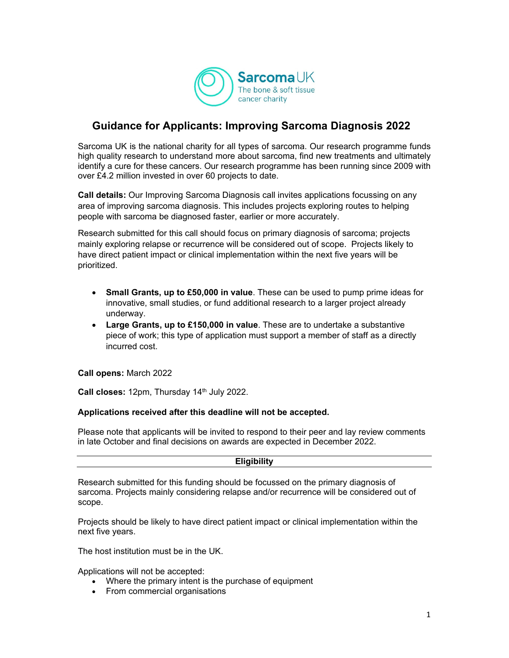

# **Guidance for Applicants: Improving Sarcoma Diagnosis 2022**

Sarcoma UK is the national charity for all types of sarcoma. Our research programme funds high quality research to understand more about sarcoma, find new treatments and ultimately identify a cure for these cancers. Our research programme has been running since 2009 with over £4.2 million invested in over 60 projects to date.

**Call details:** Our Improving Sarcoma Diagnosis call invites applications focussing on any area of improving sarcoma diagnosis. This includes projects exploring routes to helping people with sarcoma be diagnosed faster, earlier or more accurately.

Research submitted for this call should focus on primary diagnosis of sarcoma; projects mainly exploring relapse or recurrence will be considered out of scope. Projects likely to have direct patient impact or clinical implementation within the next five years will be prioritized.

- **Small Grants, up to £50,000 in value**. These can be used to pump prime ideas for innovative, small studies, or fund additional research to a larger project already underway.
- **Large Grants, up to £150,000 in value**. These are to undertake a substantive piece of work; this type of application must support a member of staff as a directly incurred cost.

**Call opens:** March 2022

Call closes: 12pm, Thursday 14<sup>th</sup> July 2022.

#### **Applications received after this deadline will not be accepted.**

Please note that applicants will be invited to respond to their peer and lay review comments in late October and final decisions on awards are expected in December 2022.

#### **Eligibility**

Research submitted for this funding should be focussed on the primary diagnosis of sarcoma. Projects mainly considering relapse and/or recurrence will be considered out of scope.

Projects should be likely to have direct patient impact or clinical implementation within the next five years.

The host institution must be in the UK.

Applications will not be accepted:

- Where the primary intent is the purchase of equipment
- From commercial organisations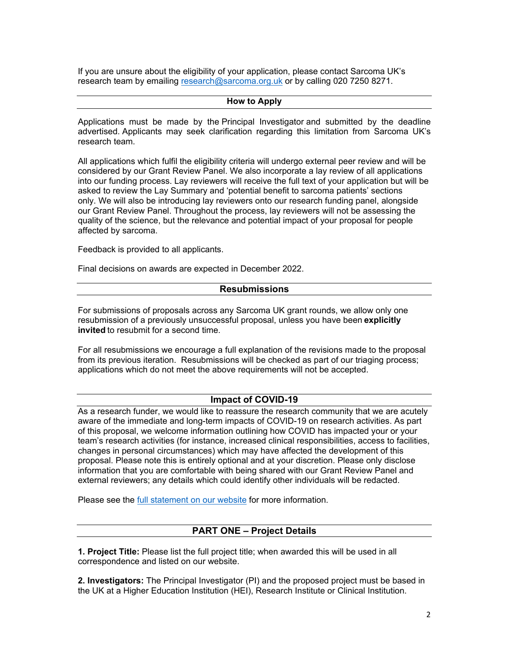If you are unsure about the eligibility of your application, please contact Sarcoma UK's research team by emailing research@sarcoma.org.uk or by calling 020 7250 8271.

# **How to Apply**

Applications must be made by the Principal Investigator and submitted by the deadline advertised. Applicants may seek clarification regarding this limitation from Sarcoma UK's research team.

All applications which fulfil the eligibility criteria will undergo external peer review and will be considered by our Grant Review Panel. We also incorporate a lay review of all applications into our funding process. Lay reviewers will receive the full text of your application but will be asked to review the Lay Summary and 'potential benefit to sarcoma patients' sections only. We will also be introducing lay reviewers onto our research funding panel, alongside our Grant Review Panel. Throughout the process, lay reviewers will not be assessing the quality of the science, but the relevance and potential impact of your proposal for people affected by sarcoma.

Feedback is provided to all applicants.

Final decisions on awards are expected in December 2022.

#### **Resubmissions**

For submissions of proposals across any Sarcoma UK grant rounds, we allow only one resubmission of a previously unsuccessful proposal, unless you have been **explicitly invited** to resubmit for a second time.

For all resubmissions we encourage a full explanation of the revisions made to the proposal from its previous iteration. Resubmissions will be checked as part of our triaging process; applications which do not meet the above requirements will not be accepted.

# **Impact of COVID-19**

As a research funder, we would like to reassure the research community that we are acutely aware of the immediate and long-term impacts of COVID-19 on research activities. As part of this proposal, we welcome information outlining how COVID has impacted your or your team's research activities (for instance, increased clinical responsibilities, access to facilities, changes in personal circumstances) which may have affected the development of this proposal. Please note this is entirely optional and at your discretion. Please only disclose information that you are comfortable with being shared with our Grant Review Panel and external reviewers; any details which could identify other individuals will be redacted.

Please see the full statement on our website for more information.

# **PART ONE – Project Details**

**1. Project Title:** Please list the full project title; when awarded this will be used in all correspondence and listed on our website.

**2. Investigators:** The Principal Investigator (PI) and the proposed project must be based in the UK at a Higher Education Institution (HEI), Research Institute or Clinical Institution.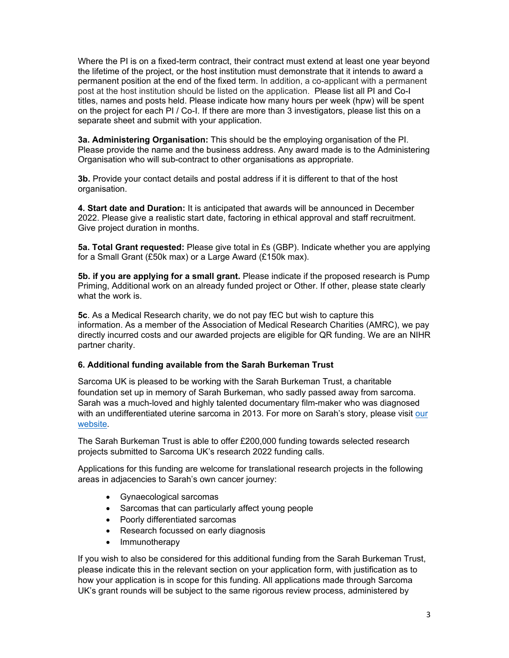Where the PI is on a fixed-term contract, their contract must extend at least one year beyond the lifetime of the project, or the host institution must demonstrate that it intends to award a permanent position at the end of the fixed term. In addition, a co-applicant with a permanent post at the host institution should be listed on the application. Please list all PI and Co-I titles, names and posts held. Please indicate how many hours per week (hpw) will be spent on the project for each PI / Co-I. If there are more than 3 investigators, please list this on a separate sheet and submit with your application.

**3a. Administering Organisation:** This should be the employing organisation of the PI. Please provide the name and the business address. Any award made is to the Administering Organisation who will sub-contract to other organisations as appropriate.

**3b.** Provide your contact details and postal address if it is different to that of the host organisation.

**4. Start date and Duration:** It is anticipated that awards will be announced in December 2022. Please give a realistic start date, factoring in ethical approval and staff recruitment. Give project duration in months.

**5a. Total Grant requested:** Please give total in £s (GBP). Indicate whether you are applying for a Small Grant (£50k max) or a Large Award (£150k max).

**5b. if you are applying for a small grant.** Please indicate if the proposed research is Pump Priming, Additional work on an already funded project or Other. If other, please state clearly what the work is.

**5c**. As a Medical Research charity, we do not pay fEC but wish to capture this information. As a member of the Association of Medical Research Charities (AMRC), we pay directly incurred costs and our awarded projects are eligible for QR funding. We are an NIHR partner charity.

#### **6. Additional funding available from the Sarah Burkeman Trust**

Sarcoma UK is pleased to be working with the Sarah Burkeman Trust, a charitable foundation set up in memory of Sarah Burkeman, who sadly passed away from sarcoma. Sarah was a much-loved and highly talented documentary film-maker who was diagnosed with an undifferentiated uterine sarcoma in 2013. For more on Sarah's story, please visit our website.

The Sarah Burkeman Trust is able to offer £200,000 funding towards selected research projects submitted to Sarcoma UK's research 2022 funding calls.

Applications for this funding are welcome for translational research projects in the following areas in adjacencies to Sarah's own cancer journey:

- Gynaecological sarcomas
- Sarcomas that can particularly affect young people
- Poorly differentiated sarcomas
- Research focussed on early diagnosis
- Immunotherapy

If you wish to also be considered for this additional funding from the Sarah Burkeman Trust, please indicate this in the relevant section on your application form, with justification as to how your application is in scope for this funding. All applications made through Sarcoma UK's grant rounds will be subject to the same rigorous review process, administered by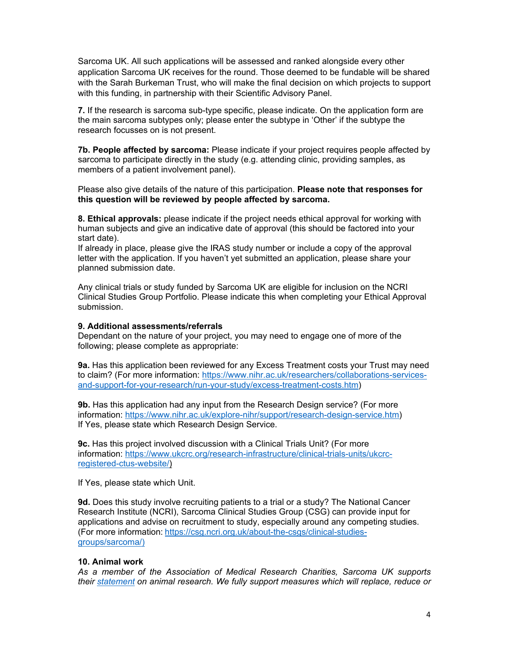Sarcoma UK. All such applications will be assessed and ranked alongside every other application Sarcoma UK receives for the round. Those deemed to be fundable will be shared with the Sarah Burkeman Trust, who will make the final decision on which projects to support with this funding, in partnership with their Scientific Advisory Panel.

**7.** If the research is sarcoma sub-type specific, please indicate. On the application form are the main sarcoma subtypes only; please enter the subtype in 'Other' if the subtype the research focusses on is not present.

**7b. People affected by sarcoma:** Please indicate if your project requires people affected by sarcoma to participate directly in the study (e.g. attending clinic, providing samples, as members of a patient involvement panel).

Please also give details of the nature of this participation. **Please note that responses for this question will be reviewed by people affected by sarcoma.** 

**8. Ethical approvals:** please indicate if the project needs ethical approval for working with human subjects and give an indicative date of approval (this should be factored into your start date).

If already in place, please give the IRAS study number or include a copy of the approval letter with the application. If you haven't yet submitted an application, please share your planned submission date.

Any clinical trials or study funded by Sarcoma UK are eligible for inclusion on the NCRI Clinical Studies Group Portfolio. Please indicate this when completing your Ethical Approval submission.

#### **9. Additional assessments/referrals**

Dependant on the nature of your project, you may need to engage one of more of the following; please complete as appropriate:

**9a.** Has this application been reviewed for any Excess Treatment costs your Trust may need to claim? (For more information: https://www.nihr.ac.uk/researchers/collaborations-servicesand-support-for-your-research/run-your-study/excess-treatment-costs.htm)

**9b.** Has this application had any input from the Research Design service? (For more information: https://www.nihr.ac.uk/explore-nihr/support/research-design-service.htm) If Yes, please state which Research Design Service.

**9c.** Has this project involved discussion with a Clinical Trials Unit? (For more information: https://www.ukcrc.org/research-infrastructure/clinical-trials-units/ukcrcregistered-ctus-website/)

If Yes, please state which Unit.

**9d.** Does this study involve recruiting patients to a trial or a study? The National Cancer Research Institute (NCRI), Sarcoma Clinical Studies Group (CSG) can provide input for applications and advise on recruitment to study, especially around any competing studies. (For more information: https://csg.ncri.org.uk/about-the-csgs/clinical-studiesgroups/sarcoma/)

#### **10. Animal work**

*As a member of the Association of Medical Research Charities, Sarcoma UK supports their statement on animal research. We fully support measures which will replace, reduce or*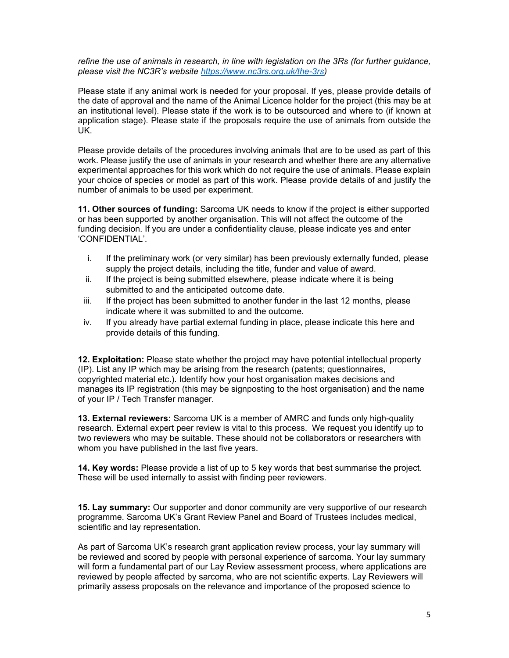*refine the use of animals in research, in line with legislation on the 3Rs (for further guidance, please visit the NC3R's website https://www.nc3rs.org.uk/the-3rs)*

Please state if any animal work is needed for your proposal. If yes, please provide details of the date of approval and the name of the Animal Licence holder for the project (this may be at an institutional level). Please state if the work is to be outsourced and where to (if known at application stage). Please state if the proposals require the use of animals from outside the UK.

Please provide details of the procedures involving animals that are to be used as part of this work. Please justify the use of animals in your research and whether there are any alternative experimental approaches for this work which do not require the use of animals. Please explain your choice of species or model as part of this work. Please provide details of and justify the number of animals to be used per experiment.

**11. Other sources of funding:** Sarcoma UK needs to know if the project is either supported or has been supported by another organisation. This will not affect the outcome of the funding decision. If you are under a confidentiality clause, please indicate yes and enter 'CONFIDENTIAL'.

- i. If the preliminary work (or very similar) has been previously externally funded, please supply the project details, including the title, funder and value of award.
- ii. If the project is being submitted elsewhere, please indicate where it is being submitted to and the anticipated outcome date.
- iii. If the project has been submitted to another funder in the last 12 months, please indicate where it was submitted to and the outcome.
- iv. If you already have partial external funding in place, please indicate this here and provide details of this funding.

**12. Exploitation:** Please state whether the project may have potential intellectual property (IP). List any IP which may be arising from the research (patents; questionnaires, copyrighted material etc.). Identify how your host organisation makes decisions and manages its IP registration (this may be signposting to the host organisation) and the name of your IP / Tech Transfer manager.

**13. External reviewers:** Sarcoma UK is a member of AMRC and funds only high-quality research. External expert peer review is vital to this process. We request you identify up to two reviewers who may be suitable. These should not be collaborators or researchers with whom you have published in the last five years.

**14. Key words:** Please provide a list of up to 5 key words that best summarise the project. These will be used internally to assist with finding peer reviewers.

**15. Lay summary:** Our supporter and donor community are very supportive of our research programme. Sarcoma UK's Grant Review Panel and Board of Trustees includes medical, scientific and lay representation.

As part of Sarcoma UK's research grant application review process, your lay summary will be reviewed and scored by people with personal experience of sarcoma. Your lay summary will form a fundamental part of our Lay Review assessment process, where applications are reviewed by people affected by sarcoma, who are not scientific experts. Lay Reviewers will primarily assess proposals on the relevance and importance of the proposed science to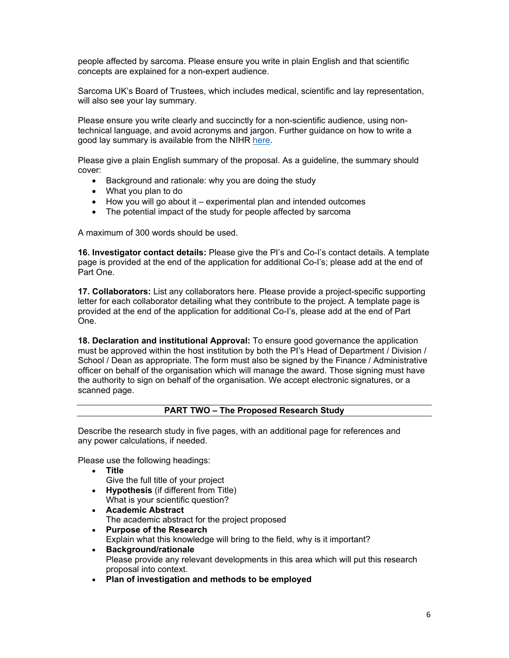people affected by sarcoma. Please ensure you write in plain English and that scientific concepts are explained for a non-expert audience.

Sarcoma UK's Board of Trustees, which includes medical, scientific and lay representation, will also see your lay summary.

Please ensure you write clearly and succinctly for a non-scientific audience, using nontechnical language, and avoid acronyms and jargon. Further guidance on how to write a good lay summary is available from the NIHR here.

Please give a plain English summary of the proposal. As a guideline, the summary should cover:

- Background and rationale: why you are doing the study
- What you plan to do
- How you will go about it experimental plan and intended outcomes
- The potential impact of the study for people affected by sarcoma

A maximum of 300 words should be used.

**16. Investigator contact details:** Please give the PI's and Co-I's contact details. A template page is provided at the end of the application for additional Co-I's; please add at the end of Part One.

**17. Collaborators:** List any collaborators here. Please provide a project-specific supporting letter for each collaborator detailing what they contribute to the project. A template page is provided at the end of the application for additional Co-I's, please add at the end of Part One.

**18. Declaration and institutional Approval:** To ensure good governance the application must be approved within the host institution by both the PI's Head of Department / Division / School / Dean as appropriate. The form must also be signed by the Finance / Administrative officer on behalf of the organisation which will manage the award. Those signing must have the authority to sign on behalf of the organisation. We accept electronic signatures, or a scanned page.

#### **PART TWO – The Proposed Research Study**

Describe the research study in five pages, with an additional page for references and any power calculations, if needed.

Please use the following headings:

**Title**

Give the full title of your project

- **Hypothesis** (if different from Title) What is your scientific question?
- **Academic Abstract** The academic abstract for the project proposed
- **Purpose of the Research** Explain what this knowledge will bring to the field, why is it important?
- **Background/rationale**  Please provide any relevant developments in this area which will put this research proposal into context.
- **Plan of investigation and methods to be employed**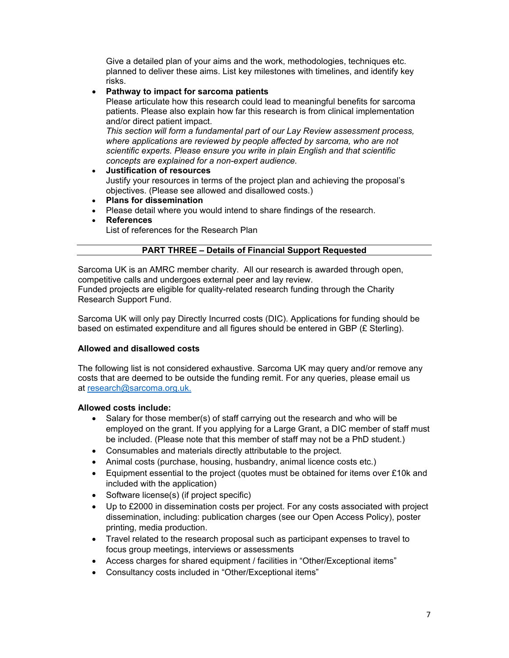Give a detailed plan of your aims and the work, methodologies, techniques etc. planned to deliver these aims. List key milestones with timelines, and identify key risks.

# **Pathway to impact for sarcoma patients**

Please articulate how this research could lead to meaningful benefits for sarcoma patients. Please also explain how far this research is from clinical implementation and/or direct patient impact.

*This section will form a fundamental part of our Lay Review assessment process,*  where applications are reviewed by people affected by sarcoma, who are not *scientific experts. Please ensure you write in plain English and that scientific concepts are explained for a non-expert audience.* 

- **Justification of resources** Justify your resources in terms of the project plan and achieving the proposal's objectives. (Please see allowed and disallowed costs.)
- **Plans for dissemination**
- Please detail where you would intend to share findings of the research.
- **References**

List of references for the Research Plan

# **PART THREE – Details of Financial Support Requested**

Sarcoma UK is an AMRC member charity. All our research is awarded through open, competitive calls and undergoes external peer and lay review. Funded projects are eligible for quality-related research funding through the Charity Research Support Fund.

Sarcoma UK will only pay Directly Incurred costs (DIC). Applications for funding should be based on estimated expenditure and all figures should be entered in GBP (£ Sterling).

# **Allowed and disallowed costs**

The following list is not considered exhaustive. Sarcoma UK may query and/or remove any costs that are deemed to be outside the funding remit. For any queries, please email us at research@sarcoma.org.uk.

# **Allowed costs include:**

- Salary for those member(s) of staff carrying out the research and who will be employed on the grant. If you applying for a Large Grant, a DIC member of staff must be included. (Please note that this member of staff may not be a PhD student.)
- Consumables and materials directly attributable to the project.
- Animal costs (purchase, housing, husbandry, animal licence costs etc.)
- Equipment essential to the project (quotes must be obtained for items over £10k and included with the application)
- Software license(s) (if project specific)
- Up to £2000 in dissemination costs per project. For any costs associated with project dissemination, including: publication charges (see our Open Access Policy), poster printing, media production.
- Travel related to the research proposal such as participant expenses to travel to focus group meetings, interviews or assessments
- Access charges for shared equipment / facilities in "Other/Exceptional items"
- Consultancy costs included in "Other/Exceptional items"